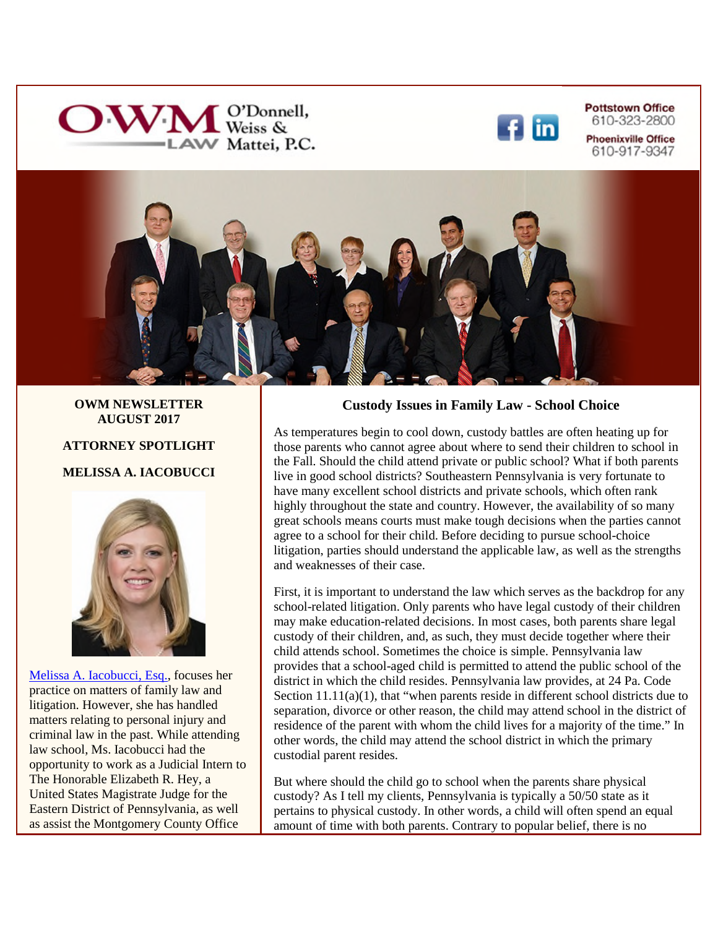



**Pottstown Office** 610-323-2800 **Phoenixville Office** 610-917-9347



#### **OWM NEWSLETTER AUGUST 2017**

#### **ATTORNEY SPOTLIGHT**

#### **MELISSA A. IACOBUCCI**



Melissa A. Iacobucci, Esq., focuses her practice on matters of family law and litigation. However, she has handled matters relating to personal injury and criminal law in the past. While attending law school, Ms. Iacobucci had the opportunity to work as a Judicial Intern to The Honorable Elizabeth R. Hey, a United States Magistrate Judge for the Eastern District of Pennsylvania, as well as assist the Montgomery County Office

### **Custody Issues in Family Law - School Choice**

As temperatures begin to cool down, custody battles are often heating up for those parents who cannot agree about where to send their children to school in the Fall. Should the child attend private or public school? What if both parents live in good school districts? Southeastern Pennsylvania is very fortunate to have many excellent school districts and private schools, which often rank highly throughout the state and country. However, the availability of so many great schools means courts must make tough decisions when the parties cannot agree to a school for their child. Before deciding to pursue school-choice litigation, parties should understand the applicable law, as well as the strengths and weaknesses of their case.

First, it is important to understand the law which serves as the backdrop for any school-related litigation. Only parents who have legal custody of their children may make education-related decisions. In most cases, both parents share legal custody of their children, and, as such, they must decide together where their child attends school. Sometimes the choice is simple. Pennsylvania law provides that a school-aged child is permitted to attend the public school of the district in which the child resides. Pennsylvania law provides, at 24 Pa. Code Section  $11.11(a)(1)$ , that "when parents reside in different school districts due to separation, divorce or other reason, the child may attend school in the district of residence of the parent with whom the child lives for a majority of the time." In other words, the child may attend the school district in which the primary custodial parent resides.

But where should the child go to school when the parents share physical custody? As I tell my clients, Pennsylvania is typically a 50/50 state as it pertains to physical custody. In other words, a child will often spend an equal amount of time with both parents. Contrary to popular belief, there is no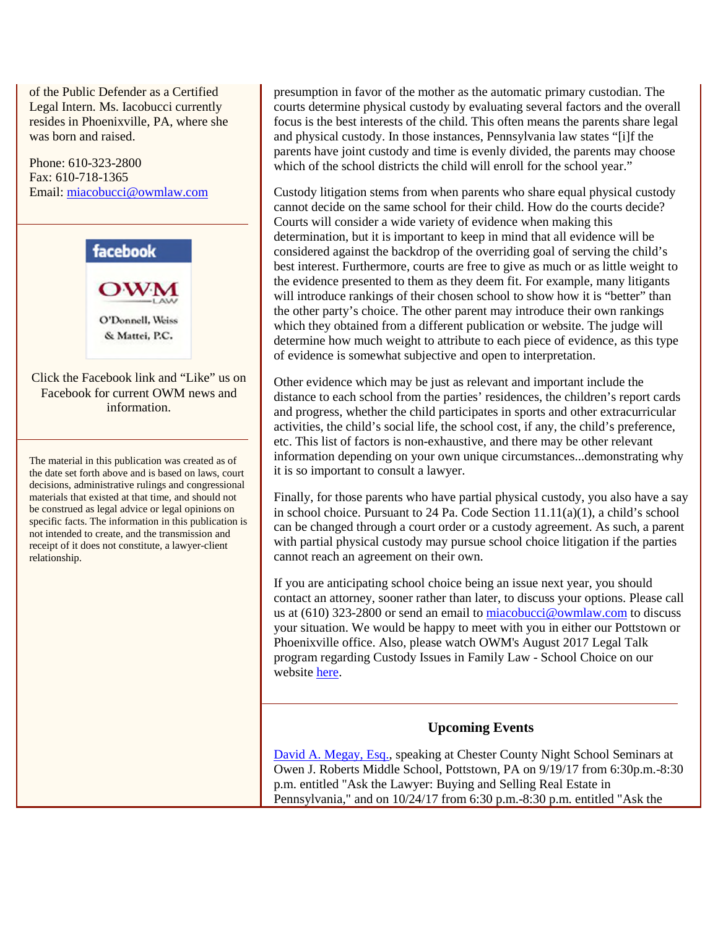[of the Public D](https://www.facebook.com/owmlaw)efender as a Certified Legal Intern. Ms. Iacobucci currently resides in Phoenixville, PA, where she was born and raised.

Phone: 610-323-2800 Fax: 610-718-1365 Email: [miacobucci@owmlaw.com](mailto:miacobucci@owmlaw.com)



presumption in favor of the mother as the automatic primary custodian. The courts determine physical custody by evaluating several factors and the overall focus is the best interests of the child. This often means the parents share legal and physical custody. In those instances, Pennsylvania law states "[i]f the parents have joint custody and time is evenly divided, the parents may choose which of the school districts the child will enroll for the school year."

Custody litigation stems from when parents who share equal physical custody cannot decide on the same school for their child. How do the courts decide? Courts will consider a wide variety of evidence when making this determination, but it is important to keep in mind that all evidence will be considered against the backdrop of the overriding goal of serving the child's best interest. Furthermore, courts are free to give as much or as little weight to the evidence presented to them as they deem fit. For example, many litigants will introduce rankings of their chosen school to show how it is "better" than the other party's choice. The other parent may introduce their own rankings which they obtained from a different publication or website. The judge will determine how much weight to attribute to each piece of evidence, as this type of evidence is somewhat subjective and open to interpretation.

Other evidence which may be just as relevant and important include the distance to each school from the parties' residences, the children's report cards and progress, whether the child participates in sports and other extracurricular activities, the child's social life, the school cost, if any, the child's preference, etc. This list of factors is non-exhaustive, and there may be other relevant information depending on your own unique circumstances...demonstrating why it is so important to consult a lawyer.

Finally, for those parents who have partial physical custody, you also have a say in school choice. Pursuant to 24 Pa. Code Section 11.11(a)(1), a child's school can be changed through a court order or a custody agreement. As such, a parent with partial physical custody may pursue school choice litigation if the parties cannot reach an agreement on their own.

If you are anticipating school choice being an issue next year, you should contact an attorney, sooner rather than later, to discuss your options. Please call us at (610) 323-2800 or send an email to [miacobucci@owmlaw.com](mailto:miacobucci@owmlaw.com) to discuss your situation. We would be happy to meet with you in either our Pottstown or Phoenixville office. Also, please watch OWM's August 2017 Legal Talk program regarding Custody Issues in Family Law - School Choice on our website here.

## **Upcoming Events**

David A. Megay, Esq., speaking at Chester County Night School Seminars at Owen J. Roberts Middle School, Pottstown, PA on 9/19/17 from 6:30p.m.-8:30 p.m. entitled "Ask the Lawyer: Buying and Selling Real Estate in Pennsylvania," and on 10/24/17 from 6:30 p.m.-8:30 p.m. entitled "Ask the